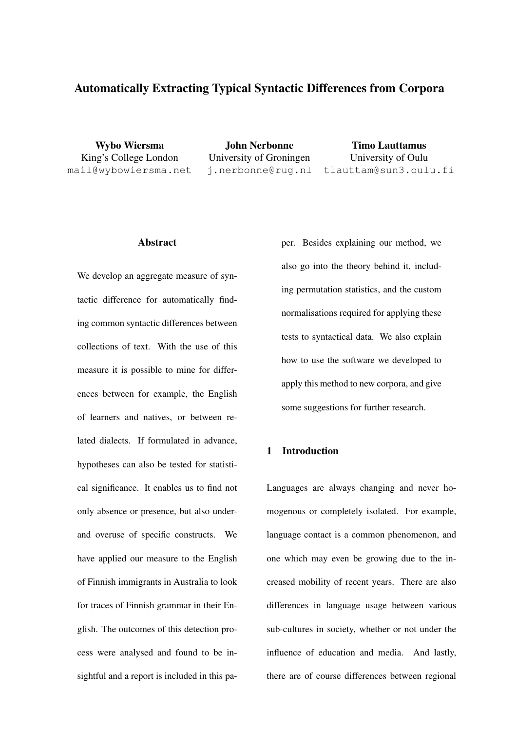# Automatically Extracting Typical Syntactic Differences from Corpora

Wybo Wiersma King's College London mail@wybowiersma.net

John Nerbonne University of Groningen

j.nerbonne@rug.nl tlauttam@sun3.oulu.fi Timo Lauttamus University of Oulu

# Abstract

We develop an aggregate measure of syntactic difference for automatically finding common syntactic differences between collections of text. With the use of this measure it is possible to mine for differences between for example, the English of learners and natives, or between related dialects. If formulated in advance, hypotheses can also be tested for statistical significance. It enables us to find not only absence or presence, but also underand overuse of specific constructs. We have applied our measure to the English of Finnish immigrants in Australia to look for traces of Finnish grammar in their English. The outcomes of this detection process were analysed and found to be insightful and a report is included in this paper. Besides explaining our method, we also go into the theory behind it, including permutation statistics, and the custom normalisations required for applying these tests to syntactical data. We also explain how to use the software we developed to apply this method to new corpora, and give some suggestions for further research.

# 1 Introduction

Languages are always changing and never homogenous or completely isolated. For example, language contact is a common phenomenon, and one which may even be growing due to the increased mobility of recent years. There are also differences in language usage between various sub-cultures in society, whether or not under the influence of education and media. And lastly, there are of course differences between regional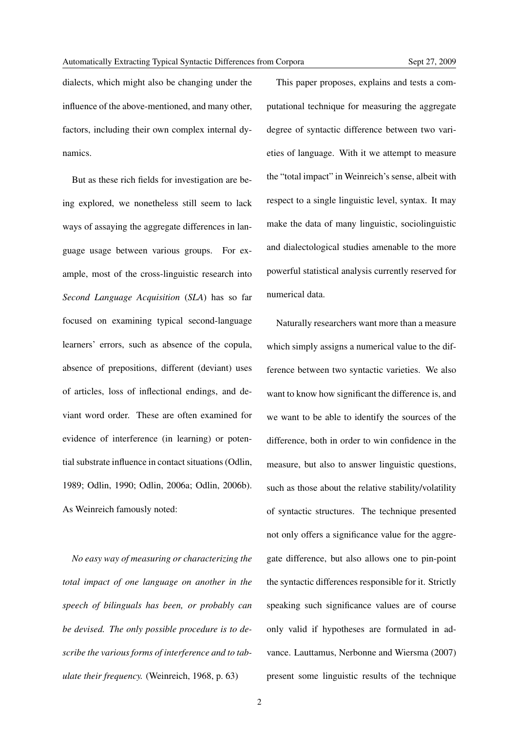dialects, which might also be changing under the influence of the above-mentioned, and many other, factors, including their own complex internal dynamics.

But as these rich fields for investigation are being explored, we nonetheless still seem to lack ways of assaying the aggregate differences in language usage between various groups. For example, most of the cross-linguistic research into *Second Language Acquisition* (*SLA*) has so far focused on examining typical second-language learners' errors, such as absence of the copula, absence of prepositions, different (deviant) uses of articles, loss of inflectional endings, and deviant word order. These are often examined for evidence of interference (in learning) or potential substrate influence in contact situations (Odlin, 1989; Odlin, 1990; Odlin, 2006a; Odlin, 2006b). As Weinreich famously noted:

*No easy way of measuring or characterizing the total impact of one language on another in the speech of bilinguals has been, or probably can be devised. The only possible procedure is to describe the various forms of interference and to tabulate their frequency.* (Weinreich, 1968, p. 63)

This paper proposes, explains and tests a computational technique for measuring the aggregate degree of syntactic difference between two varieties of language. With it we attempt to measure the "total impact" in Weinreich's sense, albeit with respect to a single linguistic level, syntax. It may make the data of many linguistic, sociolinguistic and dialectological studies amenable to the more powerful statistical analysis currently reserved for numerical data.

Naturally researchers want more than a measure which simply assigns a numerical value to the difference between two syntactic varieties. We also want to know how significant the difference is, and we want to be able to identify the sources of the difference, both in order to win confidence in the measure, but also to answer linguistic questions, such as those about the relative stability/volatility of syntactic structures. The technique presented not only offers a significance value for the aggregate difference, but also allows one to pin-point the syntactic differences responsible for it. Strictly speaking such significance values are of course only valid if hypotheses are formulated in advance. Lauttamus, Nerbonne and Wiersma (2007) present some linguistic results of the technique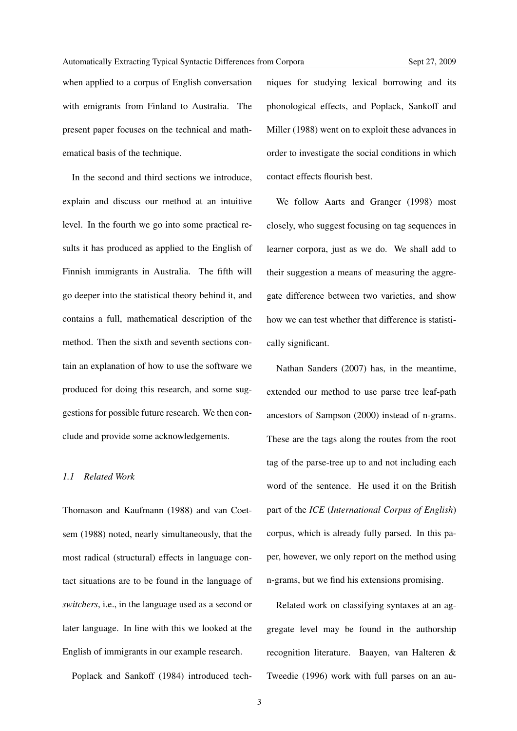when applied to a corpus of English conversation with emigrants from Finland to Australia. The present paper focuses on the technical and mathematical basis of the technique.

In the second and third sections we introduce, explain and discuss our method at an intuitive level. In the fourth we go into some practical results it has produced as applied to the English of Finnish immigrants in Australia. The fifth will go deeper into the statistical theory behind it, and contains a full, mathematical description of the method. Then the sixth and seventh sections contain an explanation of how to use the software we produced for doing this research, and some suggestions for possible future research. We then conclude and provide some acknowledgements.

#### *1.1 Related Work*

Thomason and Kaufmann (1988) and van Coetsem (1988) noted, nearly simultaneously, that the most radical (structural) effects in language contact situations are to be found in the language of *switchers*, i.e., in the language used as a second or later language. In line with this we looked at the English of immigrants in our example research.

Poplack and Sankoff (1984) introduced tech-

niques for studying lexical borrowing and its phonological effects, and Poplack, Sankoff and Miller (1988) went on to exploit these advances in order to investigate the social conditions in which contact effects flourish best.

We follow Aarts and Granger (1998) most closely, who suggest focusing on tag sequences in learner corpora, just as we do. We shall add to their suggestion a means of measuring the aggregate difference between two varieties, and show how we can test whether that difference is statistically significant.

Nathan Sanders (2007) has, in the meantime, extended our method to use parse tree leaf-path ancestors of Sampson (2000) instead of n-grams. These are the tags along the routes from the root tag of the parse-tree up to and not including each word of the sentence. He used it on the British part of the *ICE* (*International Corpus of English*) corpus, which is already fully parsed. In this paper, however, we only report on the method using n-grams, but we find his extensions promising.

Related work on classifying syntaxes at an aggregate level may be found in the authorship recognition literature. Baayen, van Halteren & Tweedie (1996) work with full parses on an au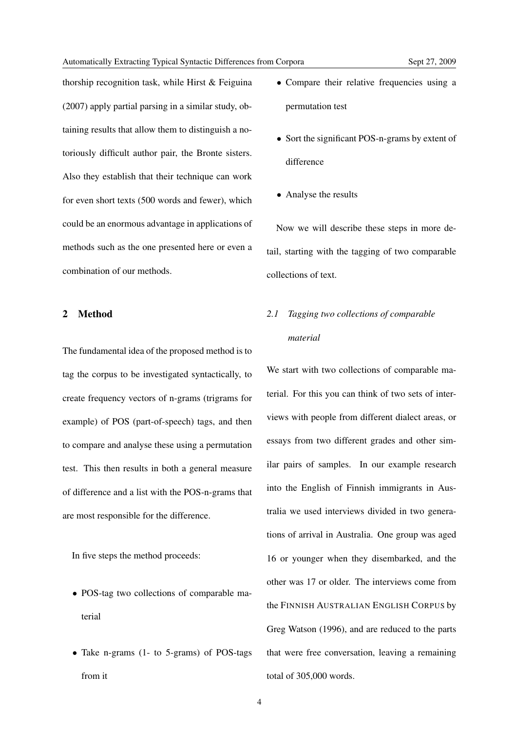thorship recognition task, while Hirst & Feiguina (2007) apply partial parsing in a similar study, obtaining results that allow them to distinguish a notoriously difficult author pair, the Bronte sisters. Also they establish that their technique can work for even short texts (500 words and fewer), which could be an enormous advantage in applications of methods such as the one presented here or even a combination of our methods.

#### 2 Method

The fundamental idea of the proposed method is to tag the corpus to be investigated syntactically, to create frequency vectors of n-grams (trigrams for example) of POS (part-of-speech) tags, and then to compare and analyse these using a permutation test. This then results in both a general measure of difference and a list with the POS-n-grams that are most responsible for the difference.

In five steps the method proceeds:

- POS-tag two collections of comparable material
- Take n-grams (1- to 5-grams) of POS-tags from it
- Compare their relative frequencies using a permutation test
- Sort the significant POS-n-grams by extent of difference
- Analyse the results

Now we will describe these steps in more detail, starting with the tagging of two comparable collections of text.

# *2.1 Tagging two collections of comparable material*

We start with two collections of comparable material. For this you can think of two sets of interviews with people from different dialect areas, or essays from two different grades and other similar pairs of samples. In our example research into the English of Finnish immigrants in Australia we used interviews divided in two generations of arrival in Australia. One group was aged 16 or younger when they disembarked, and the other was 17 or older. The interviews come from the FINNISH AUSTRALIAN ENGLISH CORPUS by Greg Watson (1996), and are reduced to the parts that were free conversation, leaving a remaining total of 305,000 words.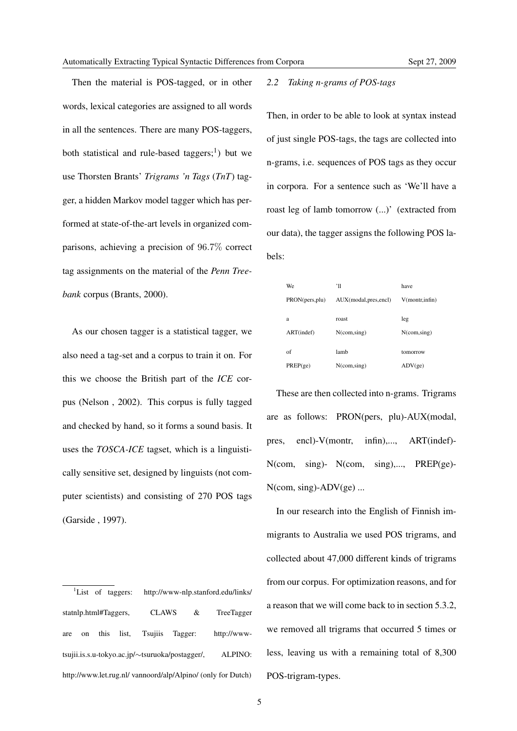Then the material is POS-tagged, or in other words, lexical categories are assigned to all words in all the sentences. There are many POS-taggers, both statistical and rule-based taggers;<sup>1</sup>) but we use Thorsten Brants' *Trigrams 'n Tags* (*TnT*) tagger, a hidden Markov model tagger which has performed at state-of-the-art levels in organized comparisons, achieving a precision of 96.7% correct tag assignments on the material of the *Penn Treebank* corpus (Brants, 2000).

As our chosen tagger is a statistical tagger, we also need a tag-set and a corpus to train it on. For this we choose the British part of the *ICE* corpus (Nelson , 2002). This corpus is fully tagged and checked by hand, so it forms a sound basis. It uses the *TOSCA-ICE* tagset, which is a linguistically sensitive set, designed by linguists (not computer scientists) and consisting of 270 POS tags (Garside , 1997).

<sup>1</sup>List of taggers: http://www-nlp.stanford.edu/links/ statnlp.html#Taggers, CLAWS & TreeTagger are on this list, Tsujiis Tagger: http://wwwtsujii.is.s.u-tokyo.ac.jp/∼tsuruoka/postagger/, ALPINO: http://www.let.rug.nl/ vannoord/alp/Alpino/ (only for Dutch)

#### *2.2 Taking n-grams of POS-tags*

Then, in order to be able to look at syntax instead of just single POS-tags, the tags are collected into n-grams, i.e. sequences of POS tags as they occur in corpora. For a sentence such as 'We'll have a roast leg of lamb tomorrow (...)' (extracted from our data), the tagger assigns the following POS labels:

| We             | '11                    | have            |
|----------------|------------------------|-----------------|
| PRON(pers.plu) | AUX(modal, pres, encl) | V(montr, infin) |
| a              | roast                  | leg             |
| ART(indef)     | $N$ (com, sing)        | $N$ (com, sing) |
| of             | lamb                   | tomorrow        |
| PREF(ge)       | $N$ (com, sing)        | $ADV$ (ge)      |

These are then collected into n-grams. Trigrams are as follows: PRON(pers, plu)-AUX(modal, pres, encl)-V(montr, infin),..., ART(indef)- N(com, sing)- N(com, sing),..., PREP(ge)- $N$ (com, sing)- $ADV$ (ge) ...

In our research into the English of Finnish immigrants to Australia we used POS trigrams, and collected about 47,000 different kinds of trigrams from our corpus. For optimization reasons, and for a reason that we will come back to in section 5.3.2, we removed all trigrams that occurred 5 times or less, leaving us with a remaining total of 8,300 POS-trigram-types.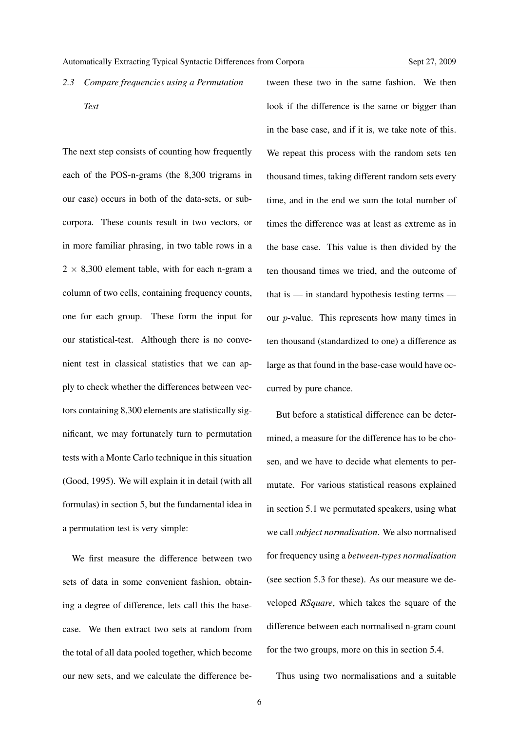*2.3 Compare frequencies using a Permutation Test*

The next step consists of counting how frequently each of the POS-n-grams (the 8,300 trigrams in our case) occurs in both of the data-sets, or subcorpora. These counts result in two vectors, or in more familiar phrasing, in two table rows in a  $2 \times 8,300$  element table, with for each n-gram a column of two cells, containing frequency counts, one for each group. These form the input for our statistical-test. Although there is no convenient test in classical statistics that we can apply to check whether the differences between vectors containing 8,300 elements are statistically significant, we may fortunately turn to permutation tests with a Monte Carlo technique in this situation (Good, 1995). We will explain it in detail (with all formulas) in section 5, but the fundamental idea in a permutation test is very simple:

We first measure the difference between two sets of data in some convenient fashion, obtaining a degree of difference, lets call this the basecase. We then extract two sets at random from the total of all data pooled together, which become our new sets, and we calculate the difference between these two in the same fashion. We then look if the difference is the same or bigger than in the base case, and if it is, we take note of this. We repeat this process with the random sets ten thousand times, taking different random sets every time, and in the end we sum the total number of times the difference was at least as extreme as in the base case. This value is then divided by the ten thousand times we tried, and the outcome of that is  $-$  in standard hypothesis testing terms  $$ our p-value. This represents how many times in ten thousand (standardized to one) a difference as large as that found in the base-case would have occurred by pure chance.

But before a statistical difference can be determined, a measure for the difference has to be chosen, and we have to decide what elements to permutate. For various statistical reasons explained in section 5.1 we permutated speakers, using what we call *subject normalisation*. We also normalised for frequency using a *between-types normalisation* (see section 5.3 for these). As our measure we developed *RSquare*, which takes the square of the difference between each normalised n-gram count for the two groups, more on this in section 5.4.

Thus using two normalisations and a suitable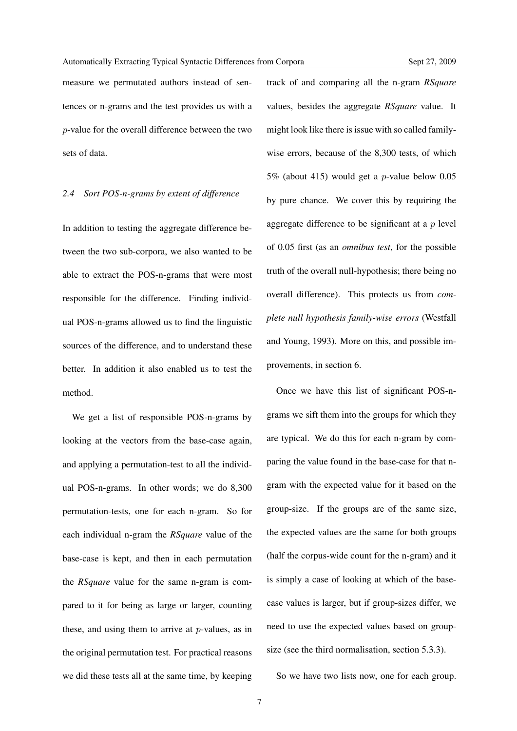measure we permutated authors instead of sentences or n-grams and the test provides us with a p-value for the overall difference between the two sets of data.

#### *2.4 Sort POS-n-grams by extent of difference*

In addition to testing the aggregate difference between the two sub-corpora, we also wanted to be able to extract the POS-n-grams that were most responsible for the difference. Finding individual POS-n-grams allowed us to find the linguistic sources of the difference, and to understand these better. In addition it also enabled us to test the method.

We get a list of responsible POS-n-grams by looking at the vectors from the base-case again, and applying a permutation-test to all the individual POS-n-grams. In other words; we do 8,300 permutation-tests, one for each n-gram. So for each individual n-gram the *RSquare* value of the base-case is kept, and then in each permutation the *RSquare* value for the same n-gram is compared to it for being as large or larger, counting these, and using them to arrive at  $p$ -values, as in the original permutation test. For practical reasons we did these tests all at the same time, by keeping

track of and comparing all the n-gram *RSquare* values, besides the aggregate *RSquare* value. It might look like there is issue with so called familywise errors, because of the 8,300 tests, of which 5% (about 415) would get a p-value below 0.05 by pure chance. We cover this by requiring the aggregate difference to be significant at a  $p$  level of 0.05 first (as an *omnibus test*, for the possible truth of the overall null-hypothesis; there being no overall difference). This protects us from *complete null hypothesis family-wise errors* (Westfall and Young, 1993). More on this, and possible improvements, in section 6.

Once we have this list of significant POS-ngrams we sift them into the groups for which they are typical. We do this for each n-gram by comparing the value found in the base-case for that ngram with the expected value for it based on the group-size. If the groups are of the same size, the expected values are the same for both groups (half the corpus-wide count for the n-gram) and it is simply a case of looking at which of the basecase values is larger, but if group-sizes differ, we need to use the expected values based on groupsize (see the third normalisation, section 5.3.3).

So we have two lists now, one for each group.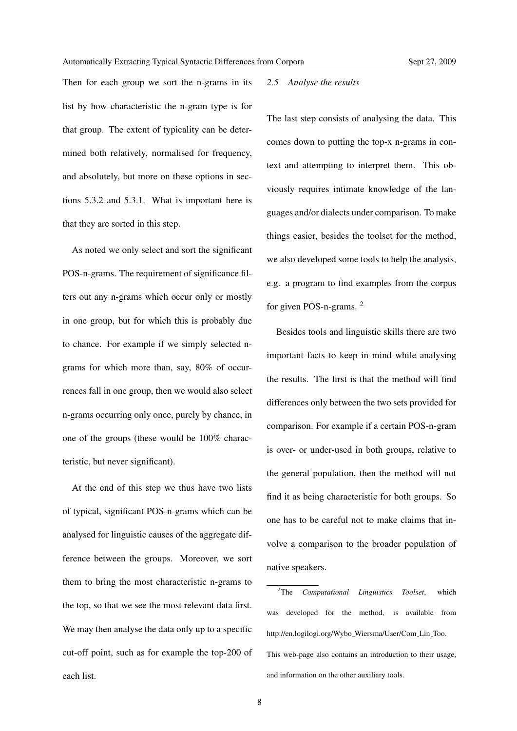Then for each group we sort the n-grams in its list by how characteristic the n-gram type is for that group. The extent of typicality can be determined both relatively, normalised for frequency, and absolutely, but more on these options in sections 5.3.2 and 5.3.1. What is important here is that they are sorted in this step.

As noted we only select and sort the significant POS-n-grams. The requirement of significance filters out any n-grams which occur only or mostly in one group, but for which this is probably due to chance. For example if we simply selected ngrams for which more than, say, 80% of occurrences fall in one group, then we would also select n-grams occurring only once, purely by chance, in one of the groups (these would be 100% characteristic, but never significant).

At the end of this step we thus have two lists of typical, significant POS-n-grams which can be analysed for linguistic causes of the aggregate difference between the groups. Moreover, we sort them to bring the most characteristic n-grams to the top, so that we see the most relevant data first. We may then analyse the data only up to a specific cut-off point, such as for example the top-200 of each list.

#### *2.5 Analyse the results*

The last step consists of analysing the data. This comes down to putting the top-x n-grams in context and attempting to interpret them. This obviously requires intimate knowledge of the languages and/or dialects under comparison. To make things easier, besides the toolset for the method, we also developed some tools to help the analysis, e.g. a program to find examples from the corpus for given POS-n-grams. <sup>2</sup>

Besides tools and linguistic skills there are two important facts to keep in mind while analysing the results. The first is that the method will find differences only between the two sets provided for comparison. For example if a certain POS-n-gram is over- or under-used in both groups, relative to the general population, then the method will not find it as being characteristic for both groups. So one has to be careful not to make claims that involve a comparison to the broader population of native speakers.

<sup>2</sup>The *Computational Linguistics Toolset*, which was developed for the method, is available from http://en.logilogi.org/Wybo Wiersma/User/Com Lin Too. This web-page also contains an introduction to their usage, and information on the other auxiliary tools.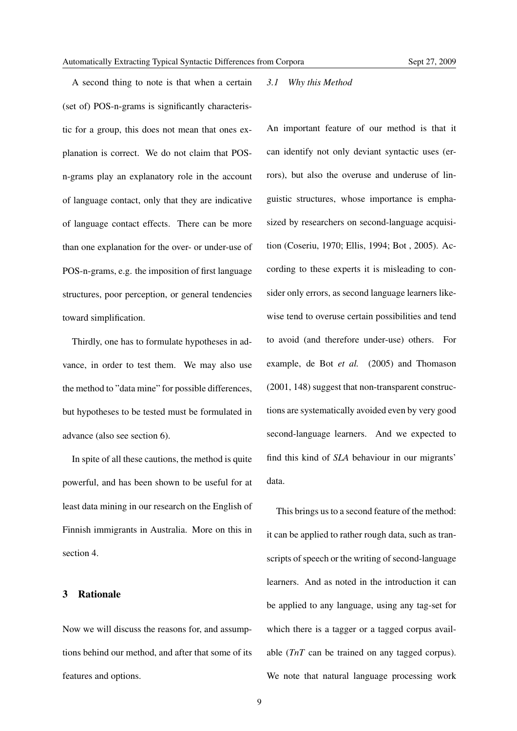A second thing to note is that when a certain (set of) POS-n-grams is significantly characteristic for a group, this does not mean that ones explanation is correct. We do not claim that POSn-grams play an explanatory role in the account of language contact, only that they are indicative of language contact effects. There can be more than one explanation for the over- or under-use of POS-n-grams, e.g. the imposition of first language structures, poor perception, or general tendencies toward simplification.

Thirdly, one has to formulate hypotheses in advance, in order to test them. We may also use the method to "data mine" for possible differences, but hypotheses to be tested must be formulated in advance (also see section 6).

In spite of all these cautions, the method is quite powerful, and has been shown to be useful for at least data mining in our research on the English of Finnish immigrants in Australia. More on this in section 4.

# 3 Rationale

Now we will discuss the reasons for, and assumptions behind our method, and after that some of its features and options.

#### *3.1 Why this Method*

An important feature of our method is that it can identify not only deviant syntactic uses (errors), but also the overuse and underuse of linguistic structures, whose importance is emphasized by researchers on second-language acquisition (Coseriu, 1970; Ellis, 1994; Bot , 2005). According to these experts it is misleading to consider only errors, as second language learners likewise tend to overuse certain possibilities and tend to avoid (and therefore under-use) others. For example, de Bot *et al.* (2005) and Thomason (2001, 148) suggest that non-transparent constructions are systematically avoided even by very good second-language learners. And we expected to find this kind of *SLA* behaviour in our migrants' data.

This brings us to a second feature of the method: it can be applied to rather rough data, such as transcripts of speech or the writing of second-language learners. And as noted in the introduction it can be applied to any language, using any tag-set for which there is a tagger or a tagged corpus available (*TnT* can be trained on any tagged corpus). We note that natural language processing work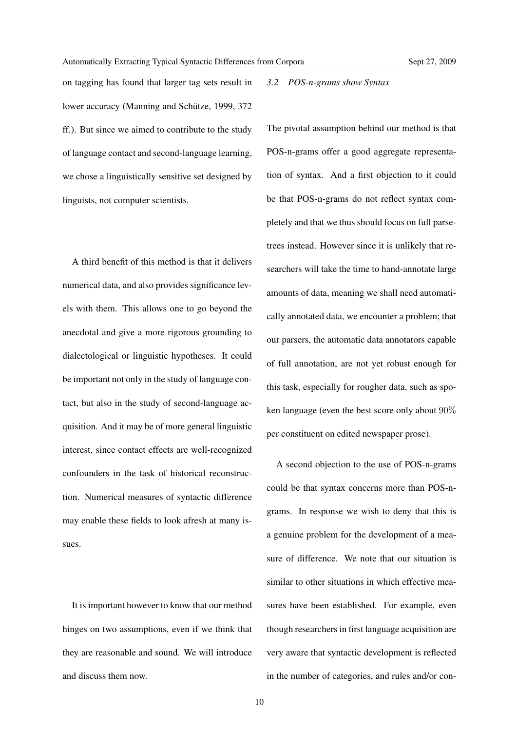on tagging has found that larger tag sets result in lower accuracy (Manning and Schütze, 1999, 372 ff.). But since we aimed to contribute to the study of language contact and second-language learning, we chose a linguistically sensitive set designed by linguists, not computer scientists.

A third benefit of this method is that it delivers numerical data, and also provides significance levels with them. This allows one to go beyond the anecdotal and give a more rigorous grounding to dialectological or linguistic hypotheses. It could be important not only in the study of language contact, but also in the study of second-language acquisition. And it may be of more general linguistic interest, since contact effects are well-recognized confounders in the task of historical reconstruction. Numerical measures of syntactic difference may enable these fields to look afresh at many issues.

It is important however to know that our method hinges on two assumptions, even if we think that they are reasonable and sound. We will introduce and discuss them now.

*3.2 POS-n-grams show Syntax*

The pivotal assumption behind our method is that POS-n-grams offer a good aggregate representation of syntax. And a first objection to it could be that POS-n-grams do not reflect syntax completely and that we thus should focus on full parsetrees instead. However since it is unlikely that researchers will take the time to hand-annotate large amounts of data, meaning we shall need automatically annotated data, we encounter a problem; that our parsers, the automatic data annotators capable of full annotation, are not yet robust enough for this task, especially for rougher data, such as spoken language (even the best score only about 90% per constituent on edited newspaper prose).

A second objection to the use of POS-n-grams could be that syntax concerns more than POS-ngrams. In response we wish to deny that this is a genuine problem for the development of a measure of difference. We note that our situation is similar to other situations in which effective measures have been established. For example, even though researchers in first language acquisition are very aware that syntactic development is reflected in the number of categories, and rules and/or con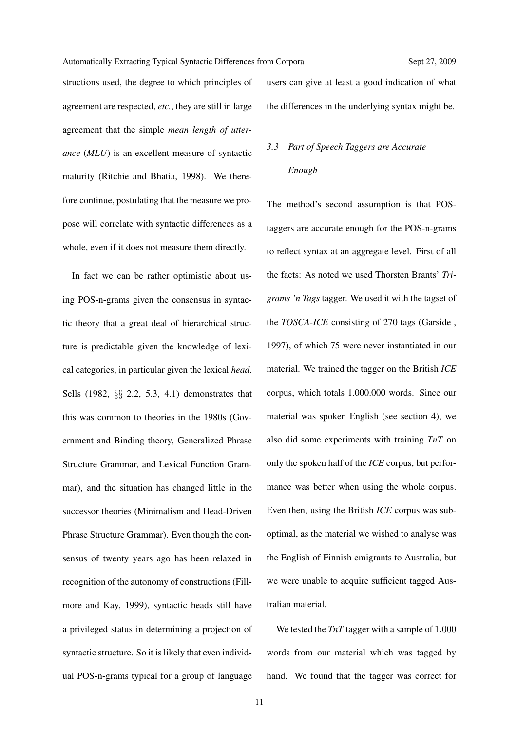structions used, the degree to which principles of agreement are respected, *etc.*, they are still in large agreement that the simple *mean length of utterance* (*MLU*) is an excellent measure of syntactic maturity (Ritchie and Bhatia, 1998). We therefore continue, postulating that the measure we propose will correlate with syntactic differences as a whole, even if it does not measure them directly.

In fact we can be rather optimistic about using POS-n-grams given the consensus in syntactic theory that a great deal of hierarchical structure is predictable given the knowledge of lexical categories, in particular given the lexical *head*. Sells (1982, §§ 2.2, 5.3, 4.1) demonstrates that this was common to theories in the 1980s (Government and Binding theory, Generalized Phrase Structure Grammar, and Lexical Function Grammar), and the situation has changed little in the successor theories (Minimalism and Head-Driven Phrase Structure Grammar). Even though the consensus of twenty years ago has been relaxed in recognition of the autonomy of constructions (Fillmore and Kay, 1999), syntactic heads still have a privileged status in determining a projection of syntactic structure. So it is likely that even individual POS-n-grams typical for a group of language users can give at least a good indication of what the differences in the underlying syntax might be.

# *3.3 Part of Speech Taggers are Accurate Enough*

The method's second assumption is that POStaggers are accurate enough for the POS-n-grams to reflect syntax at an aggregate level. First of all the facts: As noted we used Thorsten Brants' *Trigrams 'n Tags* tagger. We used it with the tagset of the *TOSCA-ICE* consisting of 270 tags (Garside , 1997), of which 75 were never instantiated in our material. We trained the tagger on the British *ICE* corpus, which totals 1.000.000 words. Since our material was spoken English (see section 4), we also did some experiments with training *TnT* on only the spoken half of the *ICE* corpus, but performance was better when using the whole corpus. Even then, using the British *ICE* corpus was suboptimal, as the material we wished to analyse was the English of Finnish emigrants to Australia, but we were unable to acquire sufficient tagged Australian material.

We tested the *TnT* tagger with a sample of 1.000 words from our material which was tagged by hand. We found that the tagger was correct for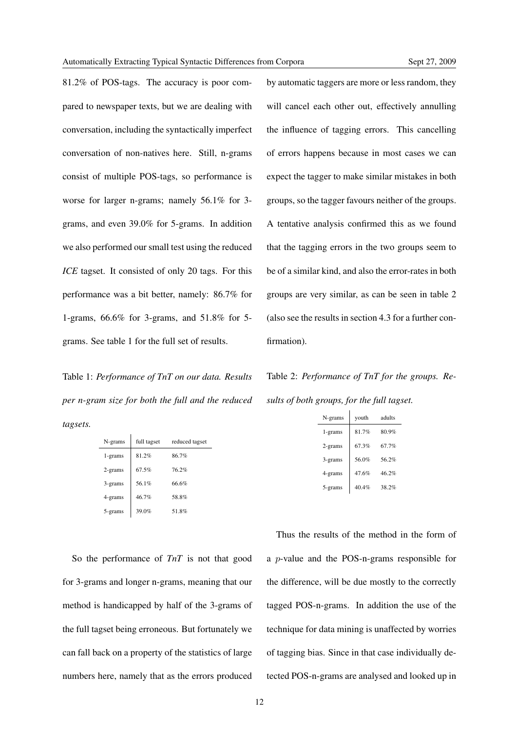81.2% of POS-tags. The accuracy is poor compared to newspaper texts, but we are dealing with conversation, including the syntactically imperfect conversation of non-natives here. Still, n-grams consist of multiple POS-tags, so performance is worse for larger n-grams; namely 56.1% for 3 grams, and even 39.0% for 5-grams. In addition we also performed our small test using the reduced *ICE* tagset. It consisted of only 20 tags. For this performance was a bit better, namely: 86.7% for 1-grams, 66.6% for 3-grams, and 51.8% for 5 grams. See table 1 for the full set of results.

Table 1: *Performance of TnT on our data. Results per n-gram size for both the full and the reduced tagsets.*

| N-grams    | full tagset | reduced tagset |
|------------|-------------|----------------|
| 1-grams    | 81.2%       | 86.7%          |
| $2$ -grams | 67.5%       | 76.2%          |
| 3-grams    | 56.1%       | 66.6%          |
| 4-grams    | 46.7%       | 58.8%          |
| 5-grams    | 39.0%       | 51.8%          |

So the performance of *TnT* is not that good for 3-grams and longer n-grams, meaning that our method is handicapped by half of the 3-grams of the full tagset being erroneous. But fortunately we can fall back on a property of the statistics of large numbers here, namely that as the errors produced

by automatic taggers are more or less random, they will cancel each other out, effectively annulling the influence of tagging errors. This cancelling of errors happens because in most cases we can expect the tagger to make similar mistakes in both groups, so the tagger favours neither of the groups. A tentative analysis confirmed this as we found that the tagging errors in the two groups seem to be of a similar kind, and also the error-rates in both groups are very similar, as can be seen in table 2 (also see the results in section 4.3 for a further confirmation).

Table 2: *Performance of TnT for the groups. Results of both groups, for the full tagset.*

| N-grams | youth | adults |
|---------|-------|--------|
| 1-grams | 81.7% | 80.9%  |
| 2-grams | 67.3% | 67.7%  |
| 3-grams | 56.0% | 56.2%  |
| 4-grams | 47.6% | 46.2%  |
| 5-grams | 40.4% | 38.2%  |

Thus the results of the method in the form of a p-value and the POS-n-grams responsible for the difference, will be due mostly to the correctly tagged POS-n-grams. In addition the use of the technique for data mining is unaffected by worries of tagging bias. Since in that case individually detected POS-n-grams are analysed and looked up in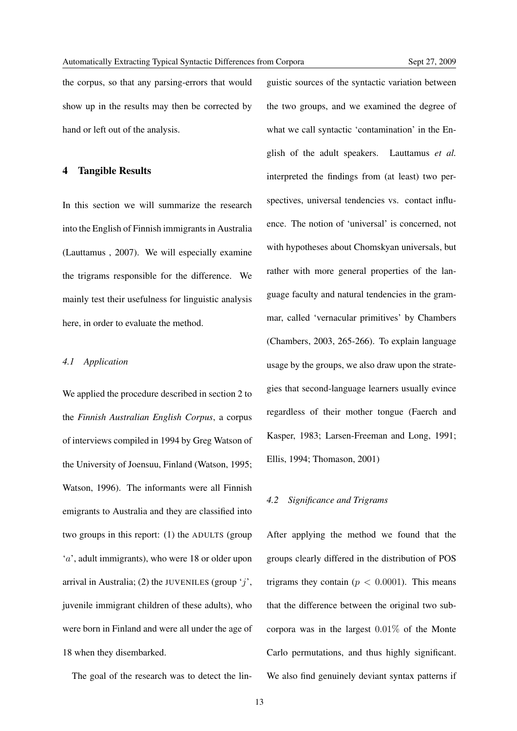the corpus, so that any parsing-errors that would show up in the results may then be corrected by hand or left out of the analysis.

#### 4 Tangible Results

In this section we will summarize the research into the English of Finnish immigrants in Australia (Lauttamus , 2007). We will especially examine the trigrams responsible for the difference. We mainly test their usefulness for linguistic analysis here, in order to evaluate the method.

# *4.1 Application*

We applied the procedure described in section 2 to the *Finnish Australian English Corpus*, a corpus of interviews compiled in 1994 by Greg Watson of the University of Joensuu, Finland (Watson, 1995; Watson, 1996). The informants were all Finnish emigrants to Australia and they are classified into two groups in this report: (1) the ADULTS (group 'a', adult immigrants), who were 18 or older upon arrival in Australia; (2) the JUVENILES (group  $j'$ , juvenile immigrant children of these adults), who were born in Finland and were all under the age of 18 when they disembarked.

The goal of the research was to detect the lin-

guistic sources of the syntactic variation between the two groups, and we examined the degree of what we call syntactic 'contamination' in the English of the adult speakers. Lauttamus *et al.* interpreted the findings from (at least) two perspectives, universal tendencies vs. contact influence. The notion of 'universal' is concerned, not with hypotheses about Chomskyan universals, but rather with more general properties of the language faculty and natural tendencies in the grammar, called 'vernacular primitives' by Chambers (Chambers, 2003, 265-266). To explain language usage by the groups, we also draw upon the strategies that second-language learners usually evince regardless of their mother tongue (Faerch and Kasper, 1983; Larsen-Freeman and Long, 1991; Ellis, 1994; Thomason, 2001)

#### *4.2 Significance and Trigrams*

After applying the method we found that the groups clearly differed in the distribution of POS trigrams they contain ( $p < 0.0001$ ). This means that the difference between the original two subcorpora was in the largest 0.01% of the Monte Carlo permutations, and thus highly significant. We also find genuinely deviant syntax patterns if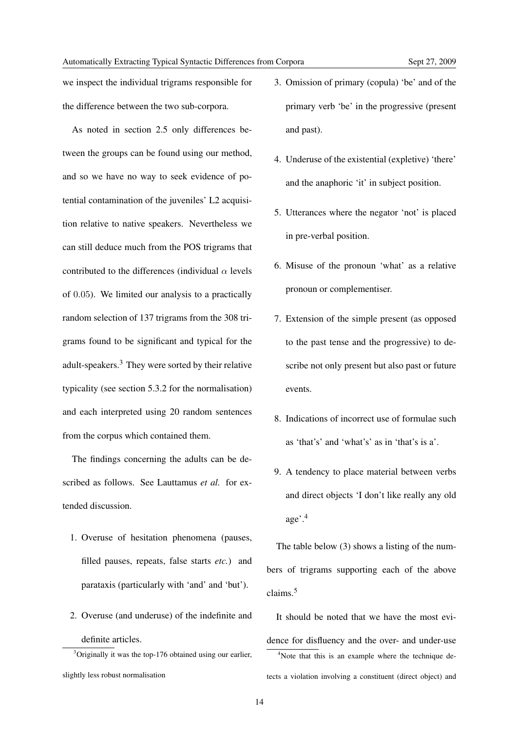we inspect the individual trigrams responsible for the difference between the two sub-corpora.

As noted in section 2.5 only differences between the groups can be found using our method, and so we have no way to seek evidence of potential contamination of the juveniles' L2 acquisition relative to native speakers. Nevertheless we can still deduce much from the POS trigrams that contributed to the differences (individual  $\alpha$  levels of 0.05). We limited our analysis to a practically random selection of 137 trigrams from the 308 trigrams found to be significant and typical for the adult-speakers.<sup>3</sup> They were sorted by their relative typicality (see section 5.3.2 for the normalisation) and each interpreted using 20 random sentences from the corpus which contained them.

The findings concerning the adults can be described as follows. See Lauttamus *et al.* for extended discussion.

- 1. Overuse of hesitation phenomena (pauses, filled pauses, repeats, false starts *etc.*) and parataxis (particularly with 'and' and 'but').
- 2. Overuse (and underuse) of the indefinite and
- 3. Omission of primary (copula) 'be' and of the primary verb 'be' in the progressive (present and past).
- 4. Underuse of the existential (expletive) 'there' and the anaphoric 'it' in subject position.
- 5. Utterances where the negator 'not' is placed in pre-verbal position.
- 6. Misuse of the pronoun 'what' as a relative pronoun or complementiser.
- 7. Extension of the simple present (as opposed to the past tense and the progressive) to describe not only present but also past or future events.
- 8. Indications of incorrect use of formulae such as 'that's' and 'what's' as in 'that's is a'.
- 9. A tendency to place material between verbs and direct objects 'I don't like really any old  $a\sigma e^{4}$ .

The table below (3) shows a listing of the numbers of trigrams supporting each of the above claims<sup>5</sup>

It should be noted that we have the most evidence for disfluency and the over- and under-use

tects a violation involving a constituent (direct object) and

<sup>4</sup>Note that this is an example where the technique de-

definite articles.

<sup>&</sup>lt;sup>3</sup>Originally it was the top-176 obtained using our earlier, slightly less robust normalisation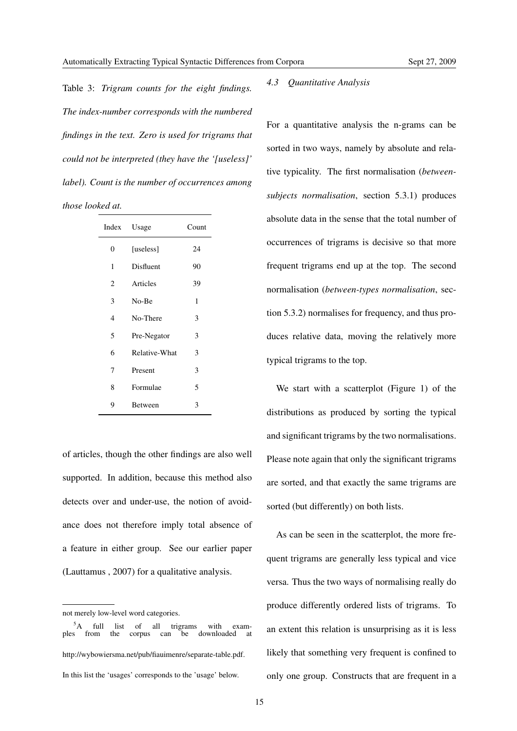Table 3: *Trigram counts for the eight findings. The index-number corresponds with the numbered findings in the text. Zero is used for trigrams that could not be interpreted (they have the '[useless]' label). Count is the number of occurrences among those looked at.*

| Index          | Usage         | Count |
|----------------|---------------|-------|
| $\overline{0}$ | [useless]     | 24    |
| 1              | Disfluent     | 90    |
| 2              | Articles      | 39    |
| 3              | No-Be         | 1     |
| 4              | No-There      | 3     |
| 5              | Pre-Negator   | 3     |
| 6              | Relative-What | 3     |
| 7              | Present       | 3     |
| 8              | Formulae      | 5     |
| 9              | Between       | 3     |

of articles, though the other findings are also well supported. In addition, because this method also detects over and under-use, the notion of avoidance does not therefore imply total absence of a feature in either group. See our earlier paper (Lauttamus , 2007) for a qualitative analysis.

#### *4.3 Quantitative Analysis*

For a quantitative analysis the n-grams can be sorted in two ways, namely by absolute and relative typicality. The first normalisation (*betweensubjects normalisation*, section 5.3.1) produces absolute data in the sense that the total number of occurrences of trigrams is decisive so that more frequent trigrams end up at the top. The second normalisation (*between-types normalisation*, section 5.3.2) normalises for frequency, and thus produces relative data, moving the relatively more typical trigrams to the top.

We start with a scatterplot (Figure 1) of the distributions as produced by sorting the typical and significant trigrams by the two normalisations. Please note again that only the significant trigrams are sorted, and that exactly the same trigrams are sorted (but differently) on both lists.

As can be seen in the scatterplot, the more frequent trigrams are generally less typical and vice versa. Thus the two ways of normalising really do produce differently ordered lists of trigrams. To an extent this relation is unsurprising as it is less likely that something very frequent is confined to only one group. Constructs that are frequent in a

not merely low-level word categories.

full list of all trigrams with exam-<br>om the corpus can be downloaded at  $p$ les from the corpus can http://wybowiersma.net/pub/fiauimenre/separate-table.pdf. In this list the 'usages' corresponds to the 'usage' below.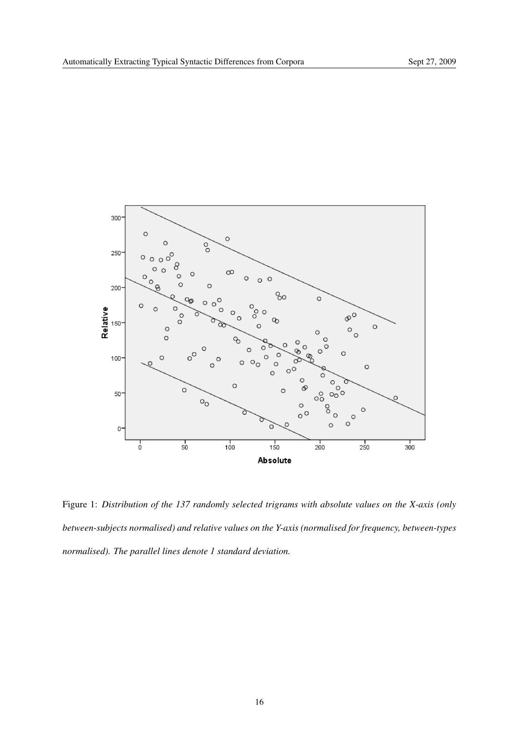

Figure 1: *Distribution of the 137 randomly selected trigrams with absolute values on the X-axis (only between-subjects normalised) and relative values on the Y-axis (normalised for frequency, between-types normalised). The parallel lines denote 1 standard deviation.*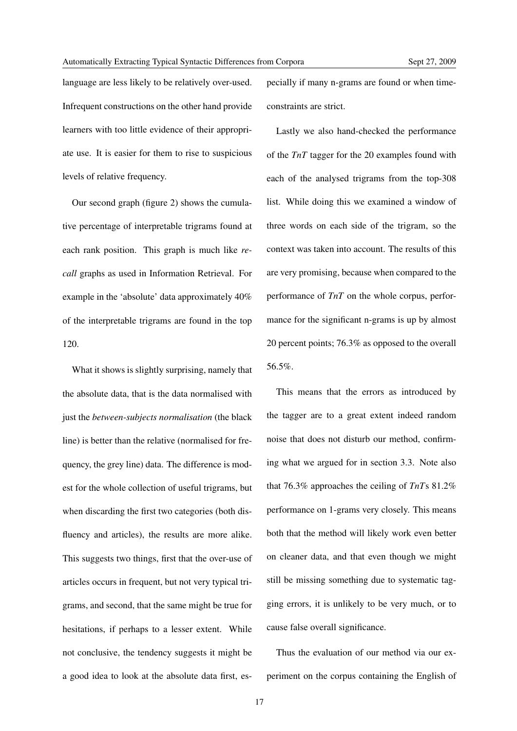language are less likely to be relatively over-used. Infrequent constructions on the other hand provide learners with too little evidence of their appropriate use. It is easier for them to rise to suspicious levels of relative frequency.

Our second graph (figure 2) shows the cumulative percentage of interpretable trigrams found at each rank position. This graph is much like *recall* graphs as used in Information Retrieval. For example in the 'absolute' data approximately 40% of the interpretable trigrams are found in the top 120.

What it shows is slightly surprising, namely that the absolute data, that is the data normalised with just the *between-subjects normalisation* (the black line) is better than the relative (normalised for frequency, the grey line) data. The difference is modest for the whole collection of useful trigrams, but when discarding the first two categories (both disfluency and articles), the results are more alike. This suggests two things, first that the over-use of articles occurs in frequent, but not very typical trigrams, and second, that the same might be true for hesitations, if perhaps to a lesser extent. While not conclusive, the tendency suggests it might be a good idea to look at the absolute data first, especially if many n-grams are found or when timeconstraints are strict.

Lastly we also hand-checked the performance of the *TnT* tagger for the 20 examples found with each of the analysed trigrams from the top-308 list. While doing this we examined a window of three words on each side of the trigram, so the context was taken into account. The results of this are very promising, because when compared to the performance of *TnT* on the whole corpus, performance for the significant n-grams is up by almost 20 percent points; 76.3% as opposed to the overall 56.5%.

This means that the errors as introduced by the tagger are to a great extent indeed random noise that does not disturb our method, confirming what we argued for in section 3.3. Note also that 76.3% approaches the ceiling of *TnT*s 81.2% performance on 1-grams very closely. This means both that the method will likely work even better on cleaner data, and that even though we might still be missing something due to systematic tagging errors, it is unlikely to be very much, or to cause false overall significance.

Thus the evaluation of our method via our experiment on the corpus containing the English of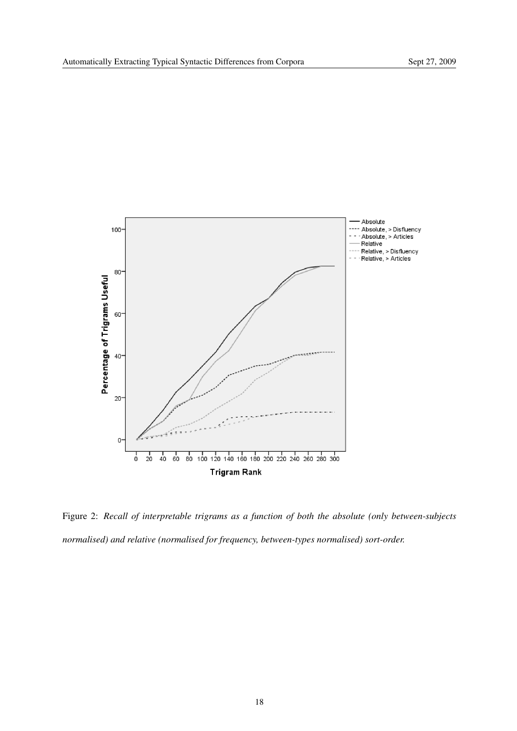

Figure 2: *Recall of interpretable trigrams as a function of both the absolute (only between-subjects normalised) and relative (normalised for frequency, between-types normalised) sort-order.*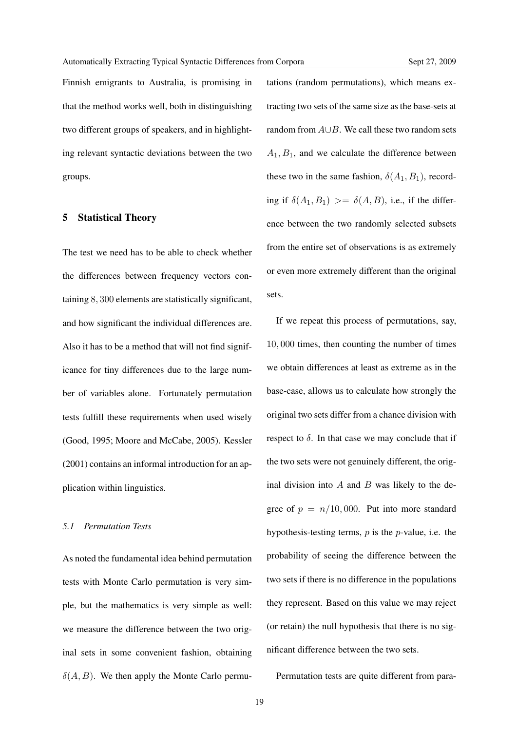Finnish emigrants to Australia, is promising in that the method works well, both in distinguishing two different groups of speakers, and in highlighting relevant syntactic deviations between the two groups.

# 5 Statistical Theory

The test we need has to be able to check whether the differences between frequency vectors containing 8, 300 elements are statistically significant, and how significant the individual differences are. Also it has to be a method that will not find significance for tiny differences due to the large number of variables alone. Fortunately permutation tests fulfill these requirements when used wisely (Good, 1995; Moore and McCabe, 2005). Kessler (2001) contains an informal introduction for an application within linguistics.

#### *5.1 Permutation Tests*

As noted the fundamental idea behind permutation tests with Monte Carlo permutation is very simple, but the mathematics is very simple as well: we measure the difference between the two original sets in some convenient fashion, obtaining  $\delta(A, B)$ . We then apply the Monte Carlo permutations (random permutations), which means extracting two sets of the same size as the base-sets at random from A∪B. We call these two random sets  $A_1, B_1$ , and we calculate the difference between these two in the same fashion,  $\delta(A_1, B_1)$ , recording if  $\delta(A_1, B_1) \geq \delta(A, B)$ , i.e., if the difference between the two randomly selected subsets from the entire set of observations is as extremely or even more extremely different than the original sets.

If we repeat this process of permutations, say, 10, 000 times, then counting the number of times we obtain differences at least as extreme as in the base-case, allows us to calculate how strongly the original two sets differ from a chance division with respect to  $\delta$ . In that case we may conclude that if the two sets were not genuinely different, the original division into  $A$  and  $B$  was likely to the degree of  $p = n/10,000$ . Put into more standard hypothesis-testing terms,  $p$  is the  $p$ -value, i.e. the probability of seeing the difference between the two sets if there is no difference in the populations they represent. Based on this value we may reject (or retain) the null hypothesis that there is no significant difference between the two sets.

Permutation tests are quite different from para-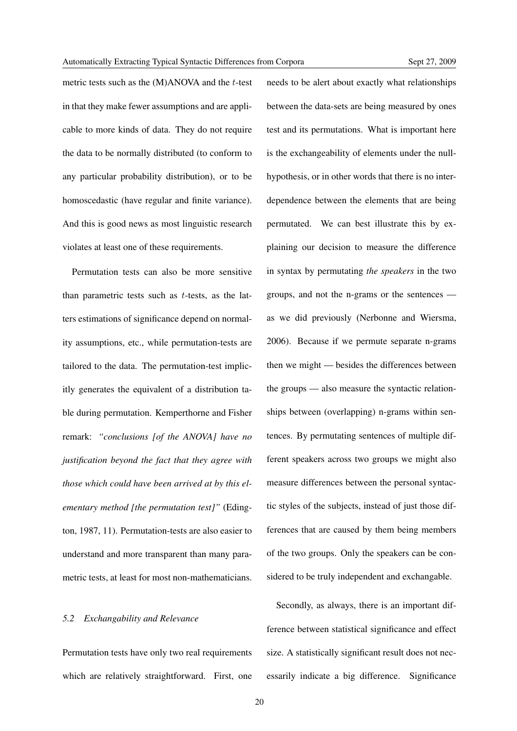metric tests such as the  $(M)$ ANOVA and the  $t$ -test in that they make fewer assumptions and are applicable to more kinds of data. They do not require the data to be normally distributed (to conform to any particular probability distribution), or to be homoscedastic (have regular and finite variance). And this is good news as most linguistic research violates at least one of these requirements.

Permutation tests can also be more sensitive than parametric tests such as  $t$ -tests, as the latters estimations of significance depend on normality assumptions, etc., while permutation-tests are tailored to the data. The permutation-test implicitly generates the equivalent of a distribution table during permutation. Kemperthorne and Fisher remark: *"conclusions [of the ANOVA] have no justification beyond the fact that they agree with those which could have been arrived at by this elementary method [the permutation test]"* (Edington, 1987, 11). Permutation-tests are also easier to understand and more transparent than many parametric tests, at least for most non-mathematicians.

#### *5.2 Exchangability and Relevance*

Permutation tests have only two real requirements which are relatively straightforward. First, one needs to be alert about exactly what relationships between the data-sets are being measured by ones test and its permutations. What is important here is the exchangeability of elements under the nullhypothesis, or in other words that there is no interdependence between the elements that are being permutated. We can best illustrate this by explaining our decision to measure the difference in syntax by permutating *the speakers* in the two groups, and not the n-grams or the sentences as we did previously (Nerbonne and Wiersma, 2006). Because if we permute separate n-grams then we might — besides the differences between the groups — also measure the syntactic relationships between (overlapping) n-grams within sentences. By permutating sentences of multiple different speakers across two groups we might also measure differences between the personal syntactic styles of the subjects, instead of just those differences that are caused by them being members of the two groups. Only the speakers can be considered to be truly independent and exchangable.

Secondly, as always, there is an important difference between statistical significance and effect size. A statistically significant result does not necessarily indicate a big difference. Significance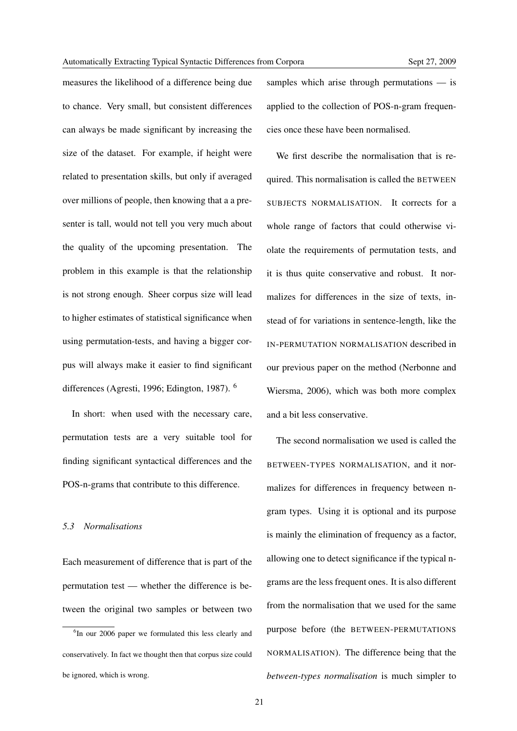measures the likelihood of a difference being due to chance. Very small, but consistent differences can always be made significant by increasing the size of the dataset. For example, if height were related to presentation skills, but only if averaged over millions of people, then knowing that a a presenter is tall, would not tell you very much about the quality of the upcoming presentation. The problem in this example is that the relationship is not strong enough. Sheer corpus size will lead to higher estimates of statistical significance when using permutation-tests, and having a bigger corpus will always make it easier to find significant differences (Agresti, 1996; Edington, 1987). <sup>6</sup>

In short: when used with the necessary care, permutation tests are a very suitable tool for finding significant syntactical differences and the POS-n-grams that contribute to this difference.

#### *5.3 Normalisations*

Each measurement of difference that is part of the permutation test — whether the difference is between the original two samples or between two

samples which arise through permutations — is applied to the collection of POS-n-gram frequencies once these have been normalised.

We first describe the normalisation that is required. This normalisation is called the BETWEEN SUBJECTS NORMALISATION. It corrects for a whole range of factors that could otherwise violate the requirements of permutation tests, and it is thus quite conservative and robust. It normalizes for differences in the size of texts, instead of for variations in sentence-length, like the IN-PERMUTATION NORMALISATION described in our previous paper on the method (Nerbonne and Wiersma, 2006), which was both more complex and a bit less conservative.

The second normalisation we used is called the BETWEEN-TYPES NORMALISATION, and it normalizes for differences in frequency between ngram types. Using it is optional and its purpose is mainly the elimination of frequency as a factor, allowing one to detect significance if the typical ngrams are the less frequent ones. It is also different from the normalisation that we used for the same purpose before (the BETWEEN-PERMUTATIONS NORMALISATION). The difference being that the *between-types normalisation* is much simpler to

<sup>&</sup>lt;sup>6</sup>In our 2006 paper we formulated this less clearly and conservatively. In fact we thought then that corpus size could be ignored, which is wrong.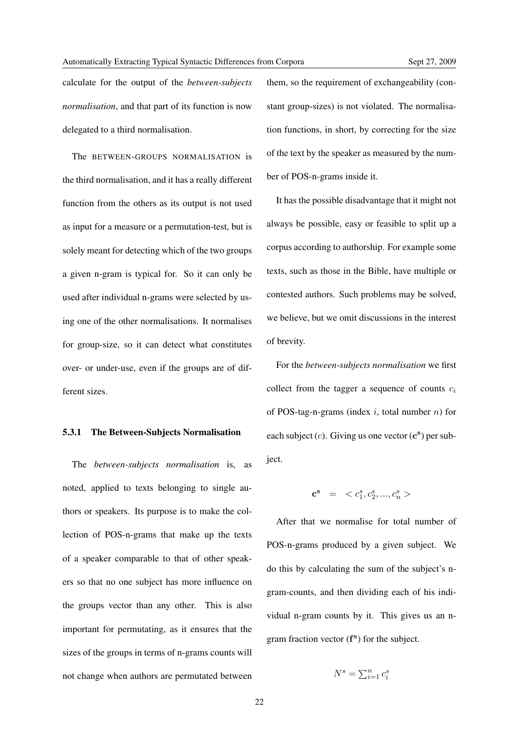calculate for the output of the *between-subjects normalisation*, and that part of its function is now delegated to a third normalisation.

The BETWEEN-GROUPS NORMALISATION is the third normalisation, and it has a really different function from the others as its output is not used as input for a measure or a permutation-test, but is solely meant for detecting which of the two groups a given n-gram is typical for. So it can only be used after individual n-grams were selected by using one of the other normalisations. It normalises for group-size, so it can detect what constitutes over- or under-use, even if the groups are of different sizes.

#### 5.3.1 The Between-Subjects Normalisation

The *between-subjects normalisation* is, as noted, applied to texts belonging to single authors or speakers. Its purpose is to make the collection of POS-n-grams that make up the texts of a speaker comparable to that of other speakers so that no one subject has more influence on the groups vector than any other. This is also important for permutating, as it ensures that the sizes of the groups in terms of n-grams counts will not change when authors are permutated between them, so the requirement of exchangeability (constant group-sizes) is not violated. The normalisation functions, in short, by correcting for the size of the text by the speaker as measured by the number of POS-n-grams inside it.

It has the possible disadvantage that it might not always be possible, easy or feasible to split up a corpus according to authorship. For example some texts, such as those in the Bible, have multiple or contested authors. Such problems may be solved, we believe, but we omit discussions in the interest of brevity.

For the *between-subjects normalisation* we first collect from the tagger a sequence of counts  $c_i$ of POS-tag-n-grams (index  $i$ , total number  $n$ ) for each subject  $(c)$ . Giving us one vector  $(c^s)$  per subject.

$$
{\bf c^s} \ \ = \ \
$$

After that we normalise for total number of POS-n-grams produced by a given subject. We do this by calculating the sum of the subject's ngram-counts, and then dividing each of his individual n-gram counts by it. This gives us an ngram fraction vector (f<sup>s</sup>) for the subject.

$$
N^s = \sum_{i=1}^n c_i^s
$$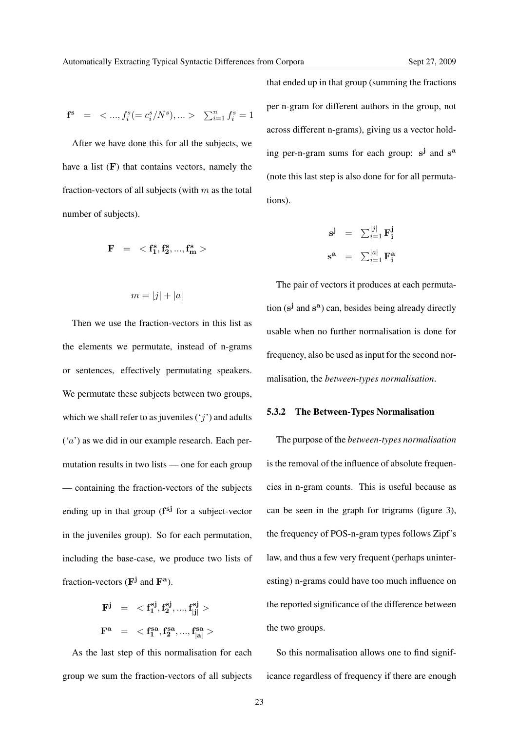$$
\mathbf{f^s} \quad = \quad <..., f_i^s (= c_i^s / N^s), ... > \quad \sum_{i=1}^n f_i^s = 1
$$

After we have done this for all the subjects, we have a list  $(F)$  that contains vectors, namely the fraction-vectors of all subjects (with  $m$  as the total number of subjects).

$$
F \ \ = \ \
$$

$$
m = |j| + |a|
$$

Then we use the fraction-vectors in this list as the elements we permutate, instead of n-grams or sentences, effectively permutating speakers. We permutate these subjects between two groups, which we shall refer to as juveniles  $('j')$  and adults ('a') as we did in our example research. Each permutation results in two lists — one for each group — containing the fraction-vectors of the subjects ending up in that group  $(f^{sj}$  for a subject-vector in the juveniles group). So for each permutation, including the base-case, we produce two lists of fraction-vectors ( $F^j$  and  $F^a$ ).

> $\begin{array}{rcl} \mathbf{F}^{\mathbf{j}} & = & <\mathbf{f}_{\mathbf{1}}^{\mathbf{sj}} \end{array}$  $_1^{\rm sj}, {\rm f}_2^{\rm sj}$  ${\bf f}_{\mathbf{2}}^{\rm sj},...,{\bf f}_{\mathbf{ |j|}}^{\rm sj} >$  ${\rm F}^{\rm a} \;\; = \;\; <{\rm f}^{\rm sa}_1, {\rm f}^{\rm sa}_2, ..., {\rm f}^{\rm sa}_{|{\rm a}|} >$

As the last step of this normalisation for each group we sum the fraction-vectors of all subjects that ended up in that group (summing the fractions per n-gram for different authors in the group, not across different n-grams), giving us a vector holding per-n-gram sums for each group: s<sup>j</sup> and s<sup>a</sup> (note this last step is also done for for all permutations).

$$
\begin{array}{rcl} \mathbf{s}^{\mathbf{j}} & = & \sum_{i=1}^{|j|} \mathbf{F}_{\mathbf{i}}^{\mathbf{j}} \\ \mathbf{s}^{\mathbf{a}} & = & \sum_{i=1}^{|a|} \mathbf{F}_{\mathbf{i}}^{\mathbf{a}} \end{array}
$$

The pair of vectors it produces at each permutation  $(s^j \text{ and } s^a)$  can, besides being already directly usable when no further normalisation is done for frequency, also be used as input for the second normalisation, the *between-types normalisation*.

#### 5.3.2 The Between-Types Normalisation

The purpose of the *between-types normalisation* is the removal of the influence of absolute frequencies in n-gram counts. This is useful because as can be seen in the graph for trigrams (figure 3), the frequency of POS-n-gram types follows Zipf's law, and thus a few very frequent (perhaps uninteresting) n-grams could have too much influence on the reported significance of the difference between the two groups.

So this normalisation allows one to find significance regardless of frequency if there are enough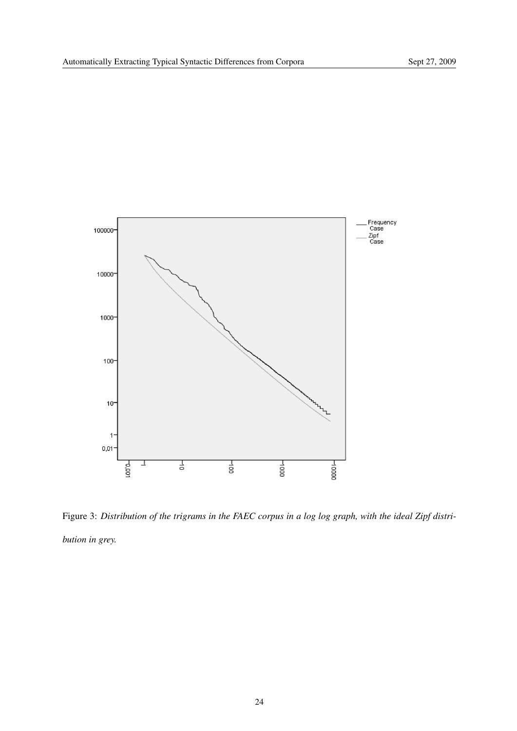

Figure 3: *Distribution of the trigrams in the FAEC corpus in a log log graph, with the ideal Zipf distribution in grey.*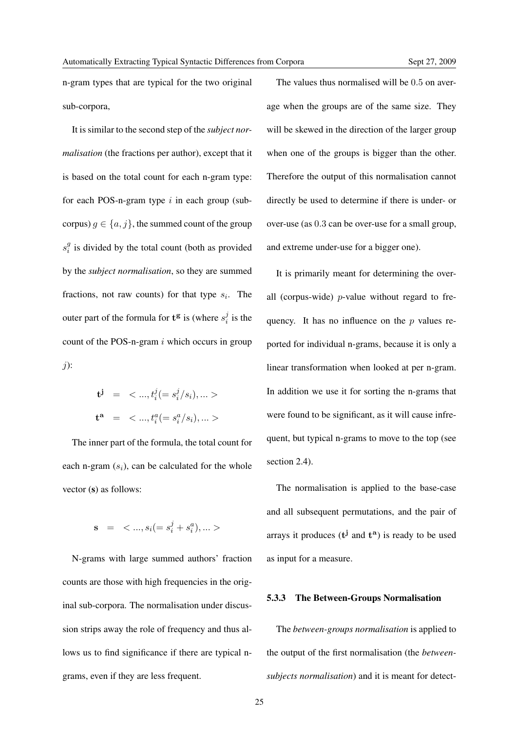n-gram types that are typical for the two original sub-corpora,

It is similar to the second step of the *subject normalisation* (the fractions per author), except that it is based on the total count for each n-gram type: for each POS-n-gram type  $i$  in each group (subcorpus)  $g \in \{a, j\}$ , the summed count of the group  $s_i^g$  $\frac{g}{i}$  is divided by the total count (both as provided by the *subject normalisation*, so they are summed fractions, not raw counts) for that type  $s_i$ . The outer part of the formula for  $t^{g}$  is (where  $s_i^j$  $i$  is the count of the POS-n-gram  $i$  which occurs in group  $j$ :

$$
\begin{array}{rcl} \mathbf{t}^{\mathbf{j}} & = & <... , t^{j}_{i}(=s^{j}_{i}/s_{i}),...> \\ \\ \mathbf{t}^{\mathbf{a}} & = & <... , t^{a}_{i}(=s^{a}_{i}/s_{i}),...> \end{array}
$$

The inner part of the formula, the total count for each n-gram  $(s_i)$ , can be calculated for the whole vector (s) as follows:

$$
{\bf s} \ \ = \ \ <..., s_i (= s_i^j + s_i^a), ...>
$$

N-grams with large summed authors' fraction counts are those with high frequencies in the original sub-corpora. The normalisation under discussion strips away the role of frequency and thus allows us to find significance if there are typical ngrams, even if they are less frequent.

The values thus normalised will be 0.5 on average when the groups are of the same size. They will be skewed in the direction of the larger group when one of the groups is bigger than the other. Therefore the output of this normalisation cannot directly be used to determine if there is under- or over-use (as 0.3 can be over-use for a small group, and extreme under-use for a bigger one).

It is primarily meant for determining the overall (corpus-wide) p-value without regard to frequency. It has no influence on the  $p$  values reported for individual n-grams, because it is only a linear transformation when looked at per n-gram. In addition we use it for sorting the n-grams that were found to be significant, as it will cause infrequent, but typical n-grams to move to the top (see section 2.4).

The normalisation is applied to the base-case and all subsequent permutations, and the pair of arrays it produces  $(t^{j}$  and  $t^{a})$  is ready to be used as input for a measure.

#### 5.3.3 The Between-Groups Normalisation

The *between-groups normalisation* is applied to the output of the first normalisation (the *betweensubjects normalisation*) and it is meant for detect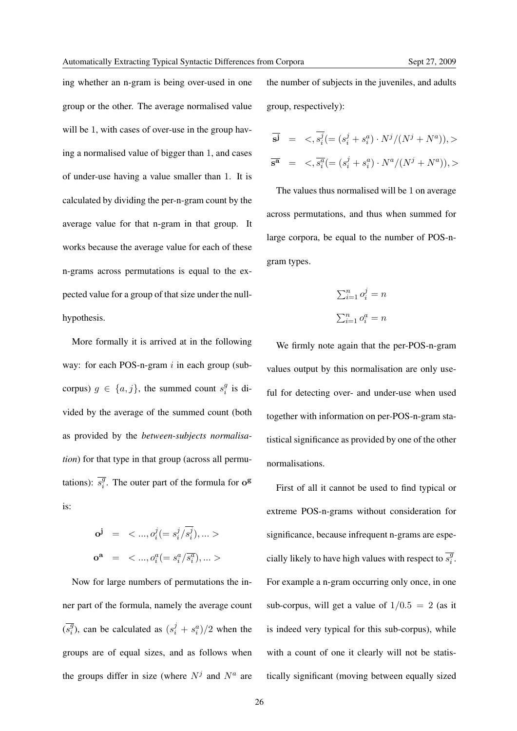ing whether an n-gram is being over-used in one group or the other. The average normalised value will be 1, with cases of over-use in the group having a normalised value of bigger than 1, and cases of under-use having a value smaller than 1. It is calculated by dividing the per-n-gram count by the average value for that n-gram in that group. It works because the average value for each of these n-grams across permutations is equal to the expected value for a group of that size under the nullhypothesis.

More formally it is arrived at in the following way: for each POS-n-gram  $i$  in each group (subcorpus)  $g \in \{a, j\}$ , the summed count  $s_i^g$  $\frac{g}{i}$  is divided by the average of the summed count (both as provided by the *between-subjects normalisation*) for that type in that group (across all permutations):  $\overline{s_i^g}$  $\overline{g}$ . The outer part of the formula for  $o^g$ is:

$$
\begin{array}{rcl} \mathbf{o}^{\mathbf{j}} & = & <...,\text{\o}^j_i(=s^j_i/s^j_i),...> \\ \\ \mathbf{o}^{\mathbf{a}} & = & <...,\text{\o}^a_i(=s^a_i/\overline{s^a_i}),...> \end{array}
$$

Now for large numbers of permutations the inner part of the formula, namely the average count  $\overline{(s_i^g)}$  $\frac{\overline{g}}{i}$ ), can be calculated as  $(s_i^j + s_i^a)/2$  when the groups are of equal sizes, and as follows when the groups differ in size (where  $N^j$  and  $N^a$  are

the number of subjects in the juveniles, and adults group, respectively):

$$
\overline{\mathbf{s}^{\mathbf{j}}} = \langle , \overline{s_i^j} (= (s_i^j + s_i^a) \cdot N^j / (N^j + N^a) ), \rangle
$$
  

$$
\overline{\mathbf{s}^{\mathbf{a}}} = \langle , \overline{s_i^a} (= (s_i^j + s_i^a) \cdot N^a / (N^j + N^a) ), \rangle
$$

The values thus normalised will be 1 on average across permutations, and thus when summed for large corpora, be equal to the number of POS-ngram types.

$$
\sum_{i=1}^{n} o_i^j = n
$$
  

$$
\sum_{i=1}^{n} o_i^a = n
$$

We firmly note again that the per-POS-n-gram values output by this normalisation are only useful for detecting over- and under-use when used together with information on per-POS-n-gram statistical significance as provided by one of the other normalisations.

First of all it cannot be used to find typical or extreme POS-n-grams without consideration for significance, because infrequent n-grams are especially likely to have high values with respect to  $\overline{s_i^g}$  $\frac{g}{i}$ . For example a n-gram occurring only once, in one sub-corpus, will get a value of  $1/0.5 = 2$  (as it is indeed very typical for this sub-corpus), while with a count of one it clearly will not be statistically significant (moving between equally sized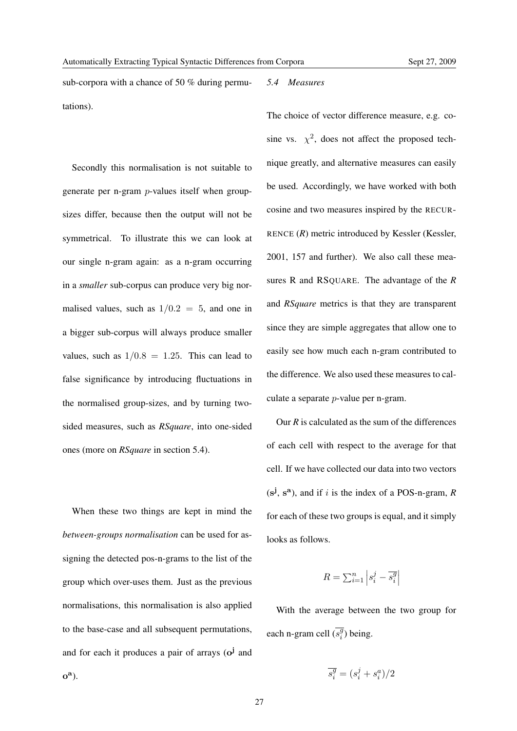sub-corpora with a chance of 50 % during permutations).

# Secondly this normalisation is not suitable to generate per n-gram p-values itself when groupsizes differ, because then the output will not be symmetrical. To illustrate this we can look at our single n-gram again: as a n-gram occurring in a *smaller* sub-corpus can produce very big normalised values, such as  $1/0.2 = 5$ , and one in a bigger sub-corpus will always produce smaller values, such as  $1/0.8 = 1.25$ . This can lead to false significance by introducing fluctuations in the normalised group-sizes, and by turning twosided measures, such as *RSquare*, into one-sided ones (more on *RSquare* in section 5.4).

When these two things are kept in mind the *between-groups normalisation* can be used for assigning the detected pos-n-grams to the list of the group which over-uses them. Just as the previous normalisations, this normalisation is also applied to the base-case and all subsequent permutations, and for each it produces a pair of arrays  $(o<sup>j</sup>$  and

o a ).

# *5.4 Measures*

The choice of vector difference measure, e.g. cosine vs.  $\chi^2$ , does not affect the proposed technique greatly, and alternative measures can easily be used. Accordingly, we have worked with both cosine and two measures inspired by the RECUR-RENCE (R) metric introduced by Kessler (Kessler, 2001, 157 and further). We also call these measures R and RSQUARE. The advantage of the *R* and *RSquare* metrics is that they are transparent since they are simple aggregates that allow one to easily see how much each n-gram contributed to the difference. We also used these measures to calculate a separate p-value per n-gram.

Our *R* is calculated as the sum of the differences of each cell with respect to the average for that cell. If we have collected our data into two vectors  $(s^j, s^a)$ , and if i is the index of a POS-n-gram, *R* for each of these two groups is equal, and it simply looks as follows.

$$
R = \sum_{i=1}^{n} \left| s_i^j - \overline{s_i^g} \right|
$$

With the average between the two group for each n-gram cell  $(\overline{s_i^g})$  $i<sup>g</sup>$ ) being.

$$
\overline{s_i^g} = (s_i^j + s_i^a)/2
$$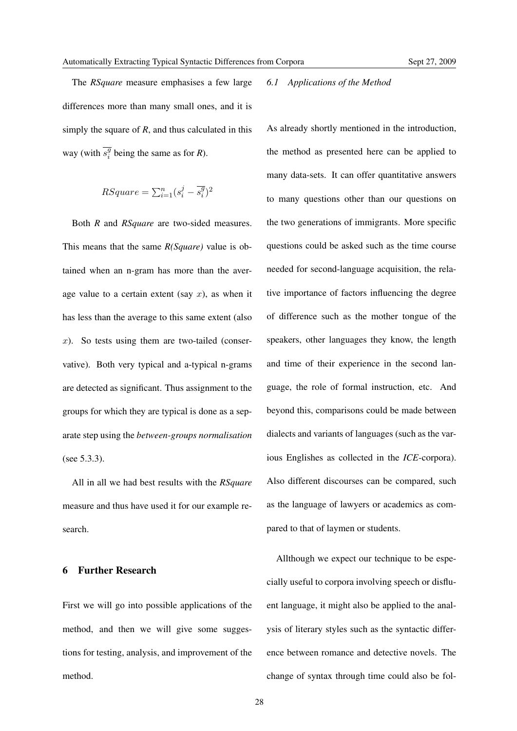The *RSquare* measure emphasises a few large differences more than many small ones, and it is simply the square of  $R$ , and thus calculated in this way (with  $\overline{s_i^g}$  $\frac{g}{i}$  being the same as for *R*).

$$
RSquare = \sum_{i=1}^{n} (s_i^j - \overline{s_i^g})^2
$$

Both *R* and *RSquare* are two-sided measures. This means that the same *R(Square)* value is obtained when an n-gram has more than the average value to a certain extent (say  $x$ ), as when it has less than the average to this same extent (also  $x$ ). So tests using them are two-tailed (conservative). Both very typical and a-typical n-grams are detected as significant. Thus assignment to the groups for which they are typical is done as a separate step using the *between-groups normalisation* (see 5.3.3).

All in all we had best results with the *RSquare* measure and thus have used it for our example research.

#### 6 Further Research

First we will go into possible applications of the method, and then we will give some suggestions for testing, analysis, and improvement of the method.

#### *6.1 Applications of the Method*

As already shortly mentioned in the introduction, the method as presented here can be applied to many data-sets. It can offer quantitative answers to many questions other than our questions on the two generations of immigrants. More specific questions could be asked such as the time course needed for second-language acquisition, the relative importance of factors influencing the degree of difference such as the mother tongue of the speakers, other languages they know, the length and time of their experience in the second language, the role of formal instruction, etc. And beyond this, comparisons could be made between dialects and variants of languages (such as the various Englishes as collected in the *ICE*-corpora). Also different discourses can be compared, such as the language of lawyers or academics as compared to that of laymen or students.

Allthough we expect our technique to be especially useful to corpora involving speech or disfluent language, it might also be applied to the analysis of literary styles such as the syntactic difference between romance and detective novels. The change of syntax through time could also be fol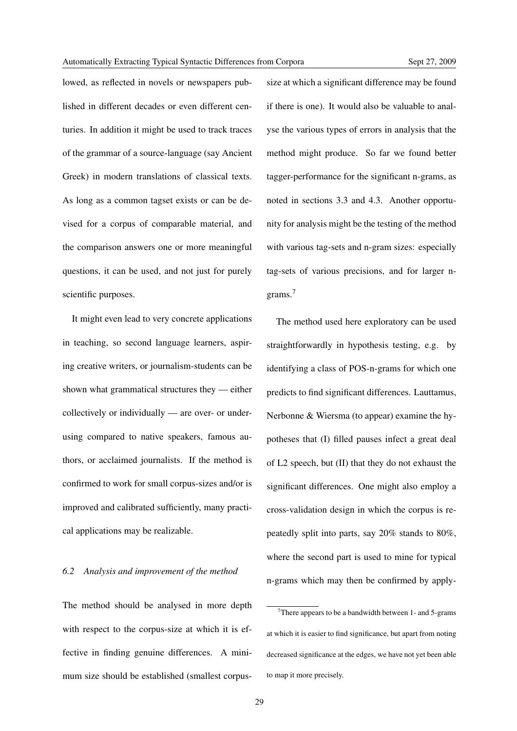lowed, as reflected in novels or newspapers published in different decades or even different centuries. In addition it might be used to track traces of the grammar of a source-language (say Ancient Greek) in modern translations of classical texts. As long as a common tagset exists or can be devised for a corpus of comparable material, and the comparison answers one or more meaningful questions, it can be used, and not just for purely scientific purposes.

It might even lead to very concrete applications in teaching, so second language learners, aspiring creative writers, or journalism-students can be shown what grammatical structures they — either collectively or individually — are over- or underusing compared to native speakers, famous authors, or acclaimed journalists. If the method is confirmed to work for small corpus-sizes and/or is improved and calibrated sufficiently, many practical applications may be realizable.

# *6.2 Analysis and improvement of the method*

The method should be analysed in more depth with respect to the corpus-size at which it is effective in finding genuine differences. A minimum size should be established (smallest corpussize at which a significant difference may be found if there is one). It would also be valuable to analyse the various types of errors in analysis that the method might produce. So far we found better tagger-performance for the significant n-grams, as noted in sections 3.3 and 4.3. Another opportunity for analysis might be the testing of the method with various tag-sets and n-gram sizes: especially tag-sets of various precisions, and for larger ngrams.<sup>7</sup>

The method used here exploratory can be used straightforwardly in hypothesis testing, e.g. by identifying a class of POS-n-grams for which one predicts to find significant differences. Lauttamus, Nerbonne & Wiersma (to appear) examine the hypotheses that (I) filled pauses infect a great deal of L2 speech, but (II) that they do not exhaust the significant differences. One might also employ a cross-validation design in which the corpus is repeatedly split into parts, say 20% stands to 80%, where the second part is used to mine for typical n-grams which may then be confirmed by apply-

There appears to be a bandwidth between 1- and 5-grams at which it is easier to find significance, but apart from noting decreased significance at the edges, we have not yet been able to map it more precisely.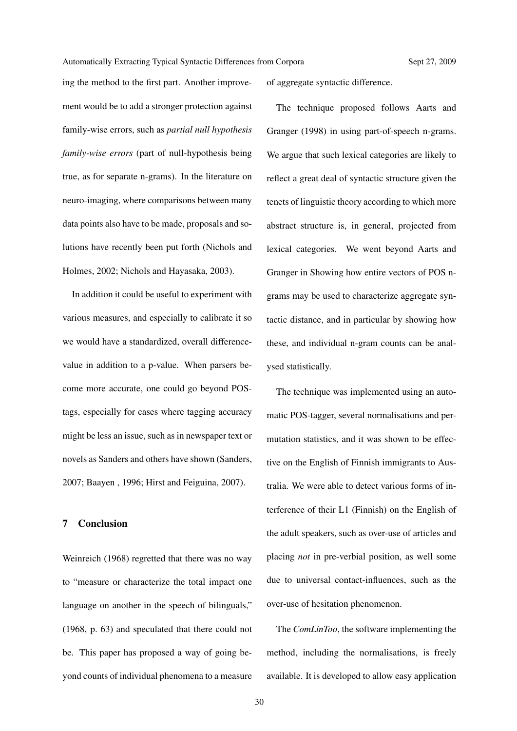ing the method to the first part. Another improvement would be to add a stronger protection against family-wise errors, such as *partial null hypothesis family-wise errors* (part of null-hypothesis being true, as for separate n-grams). In the literature on neuro-imaging, where comparisons between many data points also have to be made, proposals and solutions have recently been put forth (Nichols and Holmes, 2002; Nichols and Hayasaka, 2003).

In addition it could be useful to experiment with various measures, and especially to calibrate it so we would have a standardized, overall differencevalue in addition to a p-value. When parsers become more accurate, one could go beyond POStags, especially for cases where tagging accuracy might be less an issue, such as in newspaper text or novels as Sanders and others have shown (Sanders, 2007; Baayen , 1996; Hirst and Feiguina, 2007).

#### 7 Conclusion

Weinreich (1968) regretted that there was no way to "measure or characterize the total impact one language on another in the speech of bilinguals," (1968, p. 63) and speculated that there could not be. This paper has proposed a way of going beyond counts of individual phenomena to a measure of aggregate syntactic difference.

The technique proposed follows Aarts and Granger (1998) in using part-of-speech n-grams. We argue that such lexical categories are likely to reflect a great deal of syntactic structure given the tenets of linguistic theory according to which more abstract structure is, in general, projected from lexical categories. We went beyond Aarts and Granger in Showing how entire vectors of POS ngrams may be used to characterize aggregate syntactic distance, and in particular by showing how these, and individual n-gram counts can be analysed statistically.

The technique was implemented using an automatic POS-tagger, several normalisations and permutation statistics, and it was shown to be effective on the English of Finnish immigrants to Australia. We were able to detect various forms of interference of their L1 (Finnish) on the English of the adult speakers, such as over-use of articles and placing *not* in pre-verbial position, as well some due to universal contact-influences, such as the over-use of hesitation phenomenon.

The *ComLinToo*, the software implementing the method, including the normalisations, is freely available. It is developed to allow easy application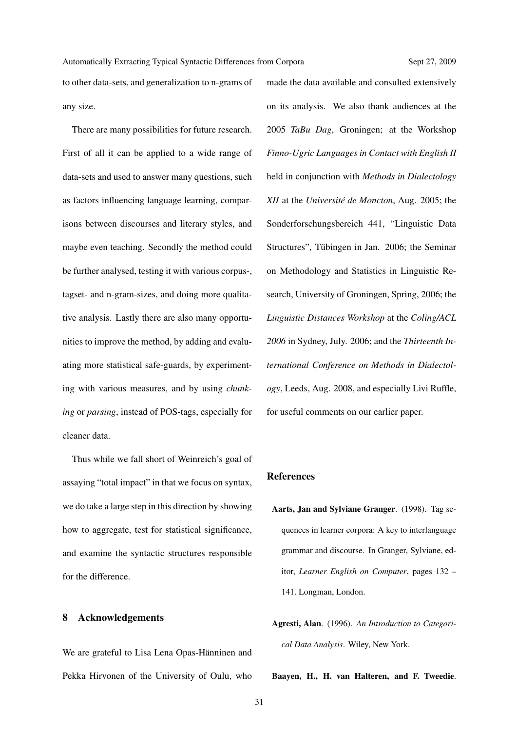to other data-sets, and generalization to n-grams of any size.

There are many possibilities for future research. First of all it can be applied to a wide range of data-sets and used to answer many questions, such as factors influencing language learning, comparisons between discourses and literary styles, and maybe even teaching. Secondly the method could be further analysed, testing it with various corpus-, tagset- and n-gram-sizes, and doing more qualitative analysis. Lastly there are also many opportunities to improve the method, by adding and evaluating more statistical safe-guards, by experimenting with various measures, and by using *chunking* or *parsing*, instead of POS-tags, especially for cleaner data.

Thus while we fall short of Weinreich's goal of assaying "total impact" in that we focus on syntax, we do take a large step in this direction by showing how to aggregate, test for statistical significance, and examine the syntactic structures responsible for the difference.

#### 8 Acknowledgements

We are grateful to Lisa Lena Opas-Hänninen and Pekka Hirvonen of the University of Oulu, who

made the data available and consulted extensively on its analysis. We also thank audiences at the 2005 *TaBu Dag*, Groningen; at the Workshop *Finno-Ugric Languages in Contact with English II* held in conjunction with *Methods in Dialectology XII* at the *Universite de Moncton ´* , Aug. 2005; the Sonderforschungsbereich 441, "Linguistic Data Structures", Tübingen in Jan. 2006; the Seminar on Methodology and Statistics in Linguistic Research, University of Groningen, Spring, 2006; the *Linguistic Distances Workshop* at the *Coling/ACL 2006* in Sydney, July. 2006; and the *Thirteenth International Conference on Methods in Dialectology*, Leeds, Aug. 2008, and especially Livi Ruffle, for useful comments on our earlier paper.

## References

- Aarts, Jan and Sylviane Granger. (1998). Tag sequences in learner corpora: A key to interlanguage grammar and discourse. In Granger, Sylviane, editor, *Learner English on Computer*, pages 132 – 141. Longman, London.
- Agresti, Alan. (1996). *An Introduction to Categorical Data Analysis*. Wiley, New York.

Baayen, H., H. van Halteren, and F. Tweedie.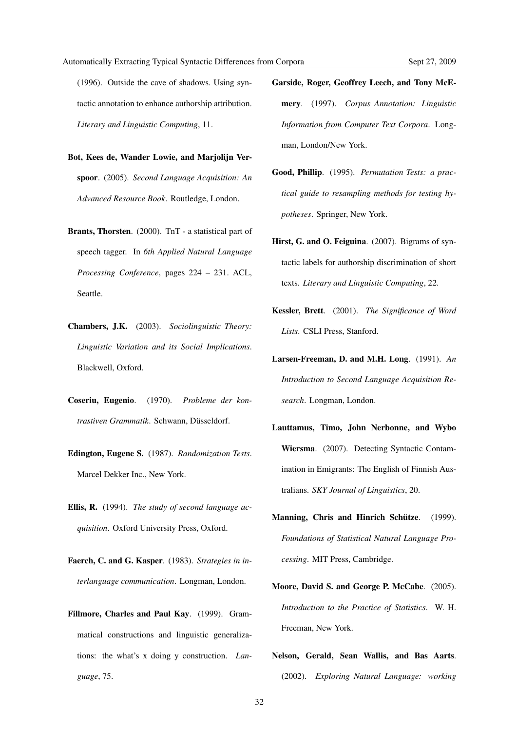- (1996). Outside the cave of shadows. Using syntactic annotation to enhance authorship attribution. *Literary and Linguistic Computing*, 11.
- Bot, Kees de, Wander Lowie, and Marjolijn Verspoor. (2005). *Second Language Acquisition: An Advanced Resource Book*. Routledge, London.
- Brants, Thorsten. (2000). TnT a statistical part of speech tagger. In *6th Applied Natural Language Processing Conference*, pages 224 – 231. ACL, Seattle.
- Chambers, J.K. (2003). *Sociolinguistic Theory: Linguistic Variation and its Social Implications*. Blackwell, Oxford.
- Coseriu, Eugenio. (1970). *Probleme der kontrastiven Grammatik*. Schwann, Dusseldorf. ¨
- Edington, Eugene S. (1987). *Randomization Tests*. Marcel Dekker Inc., New York.
- Ellis, R. (1994). *The study of second language acquisition*. Oxford University Press, Oxford.
- Faerch, C. and G. Kasper. (1983). *Strategies in interlanguage communication*. Longman, London.
- Fillmore, Charles and Paul Kay. (1999). Grammatical constructions and linguistic generalizations: the what's x doing y construction. *Language*, 75.
- Garside, Roger, Geoffrey Leech, and Tony McEmery. (1997). *Corpus Annotation: Linguistic Information from Computer Text Corpora*. Longman, London/New York.
- Good, Phillip. (1995). *Permutation Tests: a practical guide to resampling methods for testing hypotheses*. Springer, New York.
- Hirst, G. and O. Feiguina. (2007). Bigrams of syntactic labels for authorship discrimination of short texts. *Literary and Linguistic Computing*, 22.
- Kessler, Brett. (2001). *The Significance of Word Lists*. CSLI Press, Stanford.
- Larsen-Freeman, D. and M.H. Long. (1991). *An Introduction to Second Language Acquisition Research*. Longman, London.
- Lauttamus, Timo, John Nerbonne, and Wybo Wiersma. (2007). Detecting Syntactic Contamination in Emigrants: The English of Finnish Australians. *SKY Journal of Linguistics*, 20.
- Manning, Chris and Hinrich Schütze. (1999). *Foundations of Statistical Natural Language Processing*. MIT Press, Cambridge.
- Moore, David S. and George P. McCabe. (2005). *Introduction to the Practice of Statistics*. W. H. Freeman, New York.
- Nelson, Gerald, Sean Wallis, and Bas Aarts. (2002). *Exploring Natural Language: working*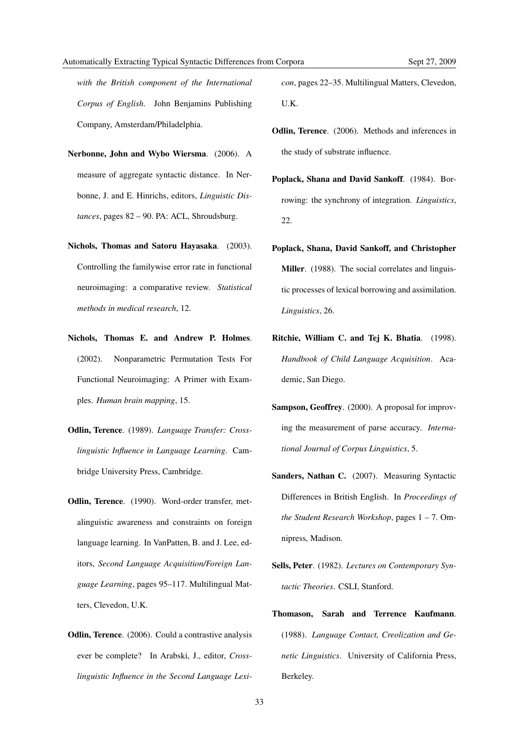*with the British component of the International Corpus of English*. John Benjamins Publishing Company, Amsterdam/Philadelphia.

- Nerbonne, John and Wybo Wiersma. (2006). A measure of aggregate syntactic distance. In Nerbonne, J. and E. Hinrichs, editors, *Linguistic Distances*, pages 82 – 90. PA: ACL, Shroudsburg.
- Nichols, Thomas and Satoru Hayasaka. (2003). Controlling the familywise error rate in functional neuroimaging: a comparative review. *Statistical methods in medical research*, 12.
- Nichols, Thomas E. and Andrew P. Holmes. (2002). Nonparametric Permutation Tests For Functional Neuroimaging: A Primer with Examples. *Human brain mapping*, 15.
- Odlin, Terence. (1989). *Language Transfer: Crosslinguistic Influence in Language Learning*. Cambridge University Press, Cambridge.
- Odlin, Terence. (1990). Word-order transfer, metalinguistic awareness and constraints on foreign language learning. In VanPatten, B. and J. Lee, editors, *Second Language Acquisition/Foreign Language Learning*, pages 95–117. Multilingual Matters, Clevedon, U.K.
- Odlin, Terence. (2006). Could a contrastive analysis ever be complete? In Arabski, J., editor, *Crosslinguistic Influence in the Second Language Lexi-*

*con*, pages 22–35. Multilingual Matters, Clevedon, U.K.

- Odlin, Terence. (2006). Methods and inferences in the study of substrate influence.
- Poplack, Shana and David Sankoff. (1984). Borrowing: the synchrony of integration. *Linguistics*, 22.
- Poplack, Shana, David Sankoff, and Christopher Miller. (1988). The social correlates and linguistic processes of lexical borrowing and assimilation. *Linguistics*, 26.
- Ritchie, William C. and Tej K. Bhatia. (1998). *Handbook of Child Language Acquisition*. Academic, San Diego.
- Sampson, Geoffrey. (2000). A proposal for improving the measurement of parse accuracy. *International Journal of Corpus Linguistics*, 5.
- Sanders, Nathan C. (2007). Measuring Syntactic Differences in British English. In *Proceedings of the Student Research Workshop*, pages 1 – 7. Omnipress, Madison.
- Sells, Peter. (1982). *Lectures on Contemporary Syntactic Theories*. CSLI, Stanford.
- Thomason, Sarah and Terrence Kaufmann. (1988). *Language Contact, Creolization and Genetic Linguistics*. University of California Press, Berkeley.